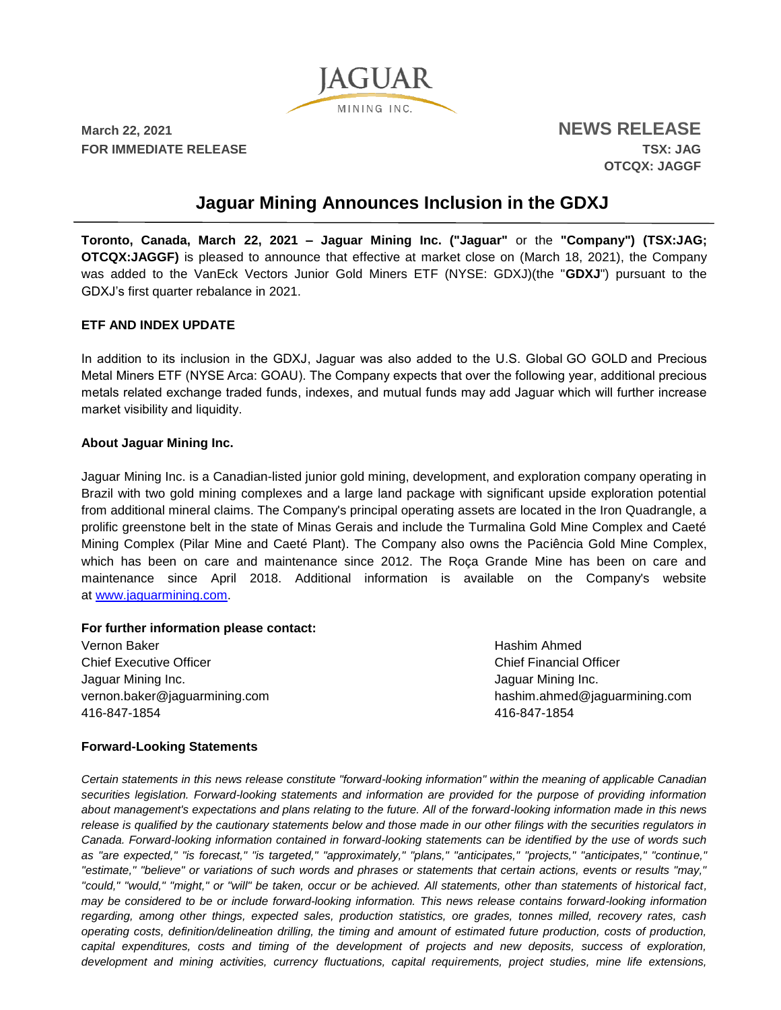

**March 22, 2021 NEWS RELEASE FOR IMMEDIATE RELEASE TSX: JAG**

**OTCQX: JAGGF**

# **Jaguar Mining Announces Inclusion in the GDXJ**

**Toronto, Canada, March 22, 2021 – Jaguar Mining Inc. ("Jaguar"** or the **"Company") (TSX:JAG; OTCQX:JAGGF)** is pleased to announce that effective at market close on (March 18, 2021), the Company was added to the VanEck Vectors Junior Gold Miners ETF (NYSE: GDXJ)(the "**GDXJ**") pursuant to the GDXJ's first quarter rebalance in 2021.

### **ETF AND INDEX UPDATE**

In addition to its inclusion in the GDXJ, Jaguar was also added to the U.S. Global GO GOLD and Precious Metal Miners ETF (NYSE Arca: GOAU). The Company expects that over the following year, additional precious metals related exchange traded funds, indexes, and mutual funds may add Jaguar which will further increase market visibility and liquidity.

### **About Jaguar Mining Inc.**

Jaguar Mining Inc. is a Canadian-listed junior gold mining, development, and exploration company operating in Brazil with two gold mining complexes and a large land package with significant upside exploration potential from additional mineral claims. The Company's principal operating assets are located in the Iron Quadrangle, a prolific greenstone belt in the state of Minas Gerais and include the Turmalina Gold Mine Complex and Caeté Mining Complex (Pilar Mine and Caeté Plant). The Company also owns the Paciência Gold Mine Complex, which has been on care and maintenance since 2012. The Roça Grande Mine has been on care and maintenance since April 2018. Additional information is available on the Company's website at [www.jaguarmining.com.](https://jaguarmining.com/)

#### **For further information please contact:**

Vernon Baker Chief Executive Officer Jaguar Mining Inc. vernon.baker@jaguarmining.com 416-847-1854

Hashim Ahmed Chief Financial Officer Jaguar Mining Inc. hashim.ahmed@jaguarmining.com 416-847-1854

## **Forward-Looking Statements**

*Certain statements in this news release constitute "forward-looking information" within the meaning of applicable Canadian securities legislation. Forward-looking statements and information are provided for the purpose of providing information about management's expectations and plans relating to the future. All of the forward-looking information made in this news release is qualified by the cautionary statements below and those made in our other filings with the securities regulators in Canada. Forward-looking information contained in forward-looking statements can be identified by the use of words such as "are expected," "is forecast," "is targeted," "approximately," "plans," "anticipates," "projects," "anticipates," "continue," "estimate," "believe" or variations of such words and phrases or statements that certain actions, events or results "may," "could," "would," "might," or "will" be taken, occur or be achieved. All statements, other than statements of historical fact, may be considered to be or include forward-looking information. This news release contains forward-looking information regarding, among other things, expected sales, production statistics, ore grades, tonnes milled, recovery rates, cash operating costs, definition/delineation drilling, the timing and amount of estimated future production, costs of production, capital expenditures, costs and timing of the development of projects and new deposits, success of exploration, development and mining activities, currency fluctuations, capital requirements, project studies, mine life extensions,*